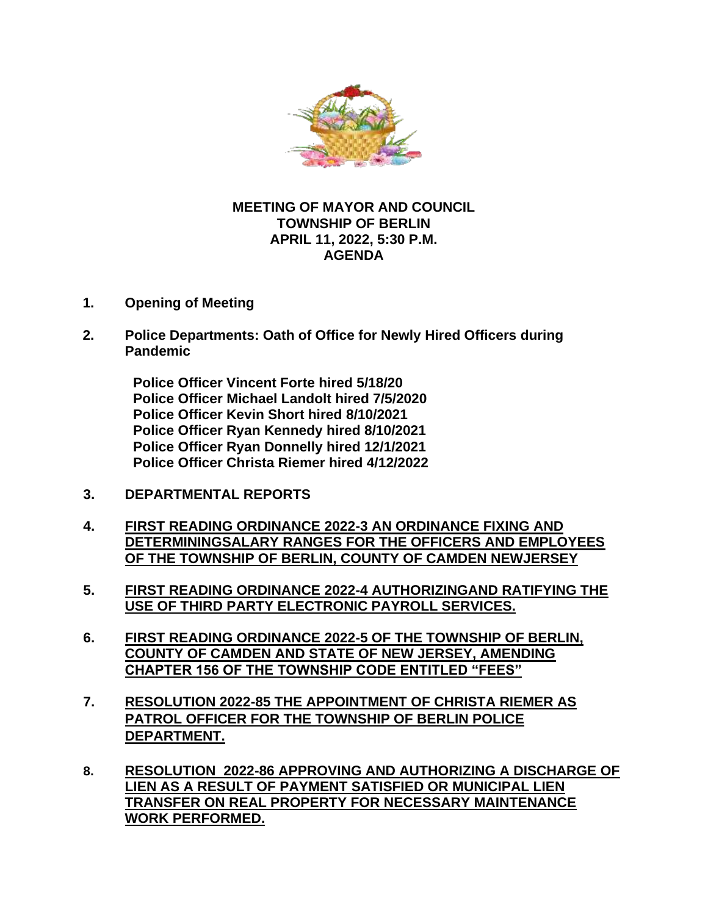

## **MEETIN[G OF](https://creativecommons.org/licenses/by-nc/3.0/) MAYOR AND COUNCIL TOWNSHIP OF BERLIN APRIL 11, 2022, 5:30 P.M. AGENDA**

- **1. Opening of Meeting**
- **2. Police Departments: Oath of Office for Newly Hired Officers during Pandemic**

**Police Officer Vincent Forte hired 5/18/20 Police Officer Michael Landolt hired 7/5/2020 Police Officer Kevin Short hired 8/10/2021 Police Officer Ryan Kennedy hired 8/10/2021 Police Officer Ryan Donnelly hired 12/1/2021 Police Officer Christa Riemer hired 4/12/2022**

- **3. DEPARTMENTAL REPORTS**
- **4. FIRST READING ORDINANCE 2022-3 AN ORDINANCE FIXING AND DETERMININGSALARY RANGES FOR THE OFFICERS AND EMPLOYEES OF THE TOWNSHIP OF BERLIN, COUNTY OF CAMDEN NEWJERSEY**
- **5. FIRST READING ORDINANCE 2022-4 AUTHORIZINGAND RATIFYING THE USE OF THIRD PARTY ELECTRONIC PAYROLL SERVICES.**
- **6. FIRST READING ORDINANCE 2022-5 OF THE TOWNSHIP OF BERLIN, COUNTY OF CAMDEN AND STATE OF NEW JERSEY, AMENDING CHAPTER 156 OF THE TOWNSHIP CODE ENTITLED "FEES"**
- **7. RESOLUTION 2022-85 THE APPOINTMENT OF CHRISTA RIEMER AS PATROL OFFICER FOR THE TOWNSHIP OF BERLIN POLICE DEPARTMENT.**
- **8. RESOLUTION 2022-86 APPROVING AND AUTHORIZING A DISCHARGE OF LIEN AS A RESULT OF PAYMENT SATISFIED OR MUNICIPAL LIEN TRANSFER ON REAL PROPERTY FOR NECESSARY MAINTENANCE WORK PERFORMED.**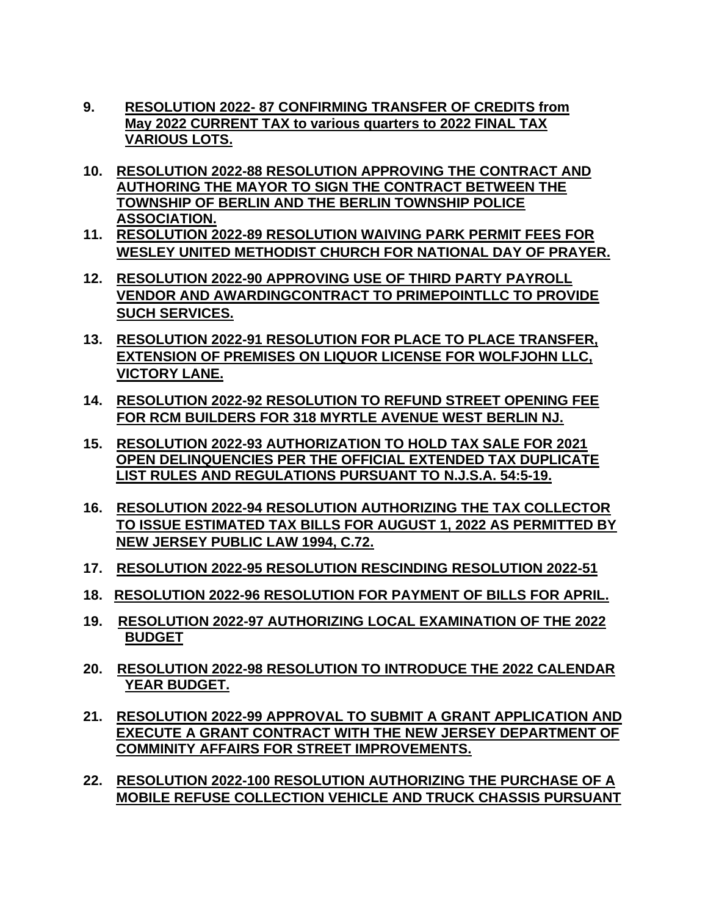- **9. RESOLUTION 2022- 87 CONFIRMING TRANSFER OF CREDITS from May 2022 CURRENT TAX to various quarters to 2022 FINAL TAX VARIOUS LOTS.**
- **10. RESOLUTION 2022-88 RESOLUTION APPROVING THE CONTRACT AND AUTHORING THE MAYOR TO SIGN THE CONTRACT BETWEEN THE TOWNSHIP OF BERLIN AND THE BERLIN TOWNSHIP POLICE ASSOCIATION.**
- **11. RESOLUTION 2022-89 RESOLUTION WAIVING PARK PERMIT FEES FOR WESLEY UNITED METHODIST CHURCH FOR NATIONAL DAY OF PRAYER.**
- **12. RESOLUTION 2022-90 APPROVING USE OF THIRD PARTY PAYROLL VENDOR AND AWARDINGCONTRACT TO PRIMEPOINTLLC TO PROVIDE SUCH SERVICES.**
- **13. RESOLUTION 2022-91 RESOLUTION FOR PLACE TO PLACE TRANSFER, EXTENSION OF PREMISES ON LIQUOR LICENSE FOR WOLFJOHN LLC, VICTORY LANE.**
- **14. RESOLUTION 2022-92 RESOLUTION TO REFUND STREET OPENING FEE FOR RCM BUILDERS FOR 318 MYRTLE AVENUE WEST BERLIN NJ.**
- **15. RESOLUTION 2022-93 AUTHORIZATION TO HOLD TAX SALE FOR 2021 OPEN DELINQUENCIES PER THE OFFICIAL EXTENDED TAX DUPLICATE LIST RULES AND REGULATIONS PURSUANT TO N.J.S.A. 54:5-19.**
- **16. RESOLUTION 2022-94 RESOLUTION AUTHORIZING THE TAX COLLECTOR TO ISSUE ESTIMATED TAX BILLS FOR AUGUST 1, 2022 AS PERMITTED BY NEW JERSEY PUBLIC LAW 1994, C.72.**
- **17. RESOLUTION 2022-95 RESOLUTION RESCINDING RESOLUTION 2022-51**
- **18. RESOLUTION 2022-96 RESOLUTION FOR PAYMENT OF BILLS FOR APRIL.**
- **19. RESOLUTION 2022-97 AUTHORIZING LOCAL EXAMINATION OF THE 2022 BUDGET**
- **20. RESOLUTION 2022-98 RESOLUTION TO INTRODUCE THE 2022 CALENDAR YEAR BUDGET.**
- **21. RESOLUTION 2022-99 APPROVAL TO SUBMIT A GRANT APPLICATION AND EXECUTE A GRANT CONTRACT WITH THE NEW JERSEY DEPARTMENT OF COMMINITY AFFAIRS FOR STREET IMPROVEMENTS.**
- **22. RESOLUTION 2022-100 RESOLUTION AUTHORIZING THE PURCHASE OF A MOBILE REFUSE COLLECTION VEHICLE AND TRUCK CHASSIS PURSUANT**